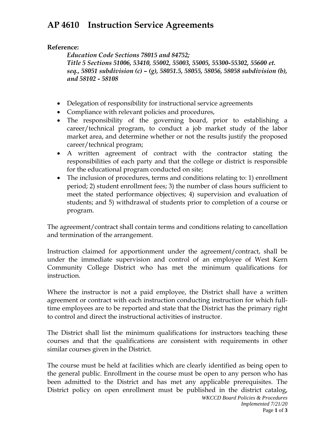## **AP 4610 Instruction Service Agreements**

## **Reference:**

*Education Code Sections 78015 and 84752; Title 5 Sections 51006, 53410, 55002, 55003, 55005, 55300-55302, 55600 et. seq., 58051 subdivision (c) – (g), 58051.5, 58055, 58056, 58058 subdivision (b), and 58102 - 58108*

- Delegation of responsibility for instructional service agreements
- Compliance with relevant policies and procedures,
- The responsibility of the governing board, prior to establishing a career/technical program, to conduct a job market study of the labor market area, and determine whether or not the results justify the proposed career/technical program;
- A written agreement of contract with the contractor stating the responsibilities of each party and that the college or district is responsible for the educational program conducted on site;
- The inclusion of procedures, terms and conditions relating to: 1) enrollment period; 2) student enrollment fees; 3) the number of class hours sufficient to meet the stated performance objectives; 4) supervision and evaluation of students; and 5) withdrawal of students prior to completion of a course or program.

The agreement/contract shall contain terms and conditions relating to cancellation and termination of the arrangement.

Instruction claimed for apportionment under the agreement/contract, shall be under the immediate supervision and control of an employee of West Kern Community College District who has met the minimum qualifications for instruction.

Where the instructor is not a paid employee, the District shall have a written agreement or contract with each instruction conducting instruction for which fulltime employees are to be reported and state that the District has the primary right to control and direct the instructional activities of instructor.

The District shall list the minimum qualifications for instructors teaching these courses and that the qualifications are consistent with requirements in other similar courses given in the District.

The course must be held at facilities which are clearly identified as being open to the general public. Enrollment in the course must be open to any person who has been admitted to the District and has met any applicable prerequisites. The District policy on open enrollment must be published in the district catalog,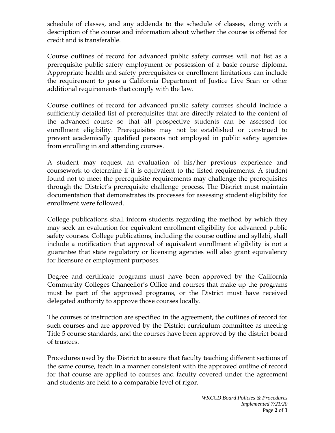schedule of classes, and any addenda to the schedule of classes, along with a description of the course and information about whether the course is offered for credit and is transferable.

Course outlines of record for advanced public safety courses will not list as a prerequisite public safety employment or possession of a basic course diploma. Appropriate health and safety prerequisites or enrollment limitations can include the requirement to pass a California Department of Justice Live Scan or other additional requirements that comply with the law.

Course outlines of record for advanced public safety courses should include a sufficiently detailed list of prerequisites that are directly related to the content of the advanced course so that all prospective students can be assessed for enrollment eligibility. Prerequisites may not be established or construed to prevent academically qualified persons not employed in public safety agencies from enrolling in and attending courses.

A student may request an evaluation of his/her previous experience and coursework to determine if it is equivalent to the listed requirements. A student found not to meet the prerequisite requirements may challenge the prerequisites through the District's prerequisite challenge process. The District must maintain documentation that demonstrates its processes for assessing student eligibility for enrollment were followed.

College publications shall inform students regarding the method by which they may seek an evaluation for equivalent enrollment eligibility for advanced public safety courses. College publications, including the course outline and syllabi, shall include a notification that approval of equivalent enrollment eligibility is not a guarantee that state regulatory or licensing agencies will also grant equivalency for licensure or employment purposes.

Degree and certificate programs must have been approved by the California Community Colleges Chancellor's Office and courses that make up the programs must be part of the approved programs, or the District must have received delegated authority to approve those courses locally.

The courses of instruction are specified in the agreement, the outlines of record for such courses and are approved by the District curriculum committee as meeting Title 5 course standards, and the courses have been approved by the district board of trustees.

Procedures used by the District to assure that faculty teaching different sections of the same course, teach in a manner consistent with the approved outline of record for that course are applied to courses and faculty covered under the agreement and students are held to a comparable level of rigor.